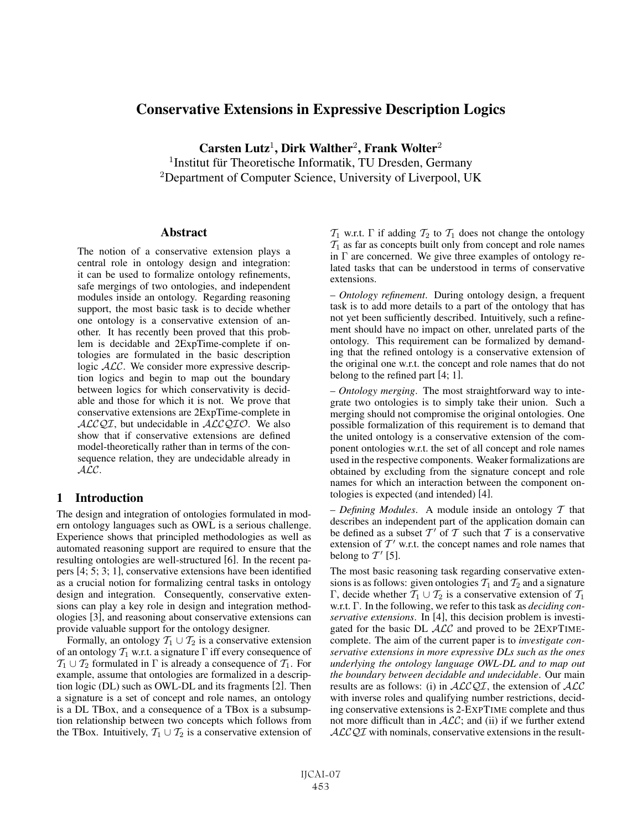# Conservative Extensions in Expressive Description Logics

Carsten Lutz<sup>1</sup>, Dirk Walther<sup>2</sup>, Frank Wolter<sup>2</sup>  $1$ Institut für Theoretische Informatik, TU Dresden, Germany <sup>2</sup>Department of Computer Science, University of Liverpool, UK

### Abstract

The notion of a conservative extension plays a central role in ontology design and integration: it can be used to formalize ontology refinements, safe mergings of two ontologies, and independent modules inside an ontology. Regarding reasoning support, the most basic task is to decide whether one ontology is a conservative extension of another. It has recently been proved that this problem is decidable and 2ExpTime-complete if ontologies are formulated in the basic description logic  $ALC$ . We consider more expressive description logics and begin to map out the boundary between logics for which conservativity is decidable and those for which it is not. We prove that conservative extensions are 2ExpTime-complete in  $ALCQI$ , but undecidable in  $ALCQIO$ . We also show that if conservative extensions are defined model-theoretically rather than in terms of the consequence relation, they are undecidable already in ALC.

## 1 Introduction

The design and integration of ontologies formulated in modern ontology languages such as OWL is a serious challenge. Experience shows that principled methodologies as well as automated reasoning support are required to ensure that the resulting ontologies are well-structured [6]. In the recent papers [4; 5; 3; 1], conservative extensions have been identified as a crucial notion for formalizing central tasks in ontology design and integration. Consequently, conservative extensions can play a key role in design and integration methodologies [3], and reasoning about conservative extensions can provide valuable support for the ontology designer.

Formally, an ontology  $T_1 \cup T_2$  is a conservative extension of an ontology  $T_1$  w.r.t. a signature  $\Gamma$  iff every consequence of  $\mathcal{T}_1 \cup \mathcal{T}_2$  formulated in  $\Gamma$  is already a consequence of  $\mathcal{T}_1$ . For example, assume that ontologies are formalized in a description logic (DL) such as OWL-DL and its fragments [2]. Then a signature is a set of concept and role names, an ontology is a DL TBox, and a consequence of a TBox is a subsumption relationship between two concepts which follows from the TBox. Intuitively,  $T_1 \cup T_2$  is a conservative extension of  $\mathcal{T}_1$  w.r.t.  $\Gamma$  if adding  $\mathcal{T}_2$  to  $\mathcal{T}_1$  does not change the ontology  $T_1$  as far as concepts built only from concept and role names in  $\Gamma$  are concerned. We give three examples of ontology related tasks that can be understood in terms of conservative extensions.

– *Ontology refinement*. During ontology design, a frequent task is to add more details to a part of the ontology that has not yet been sufficiently described. Intuitively, such a refinement should have no impact on other, unrelated parts of the ontology. This requirement can be formalized by demanding that the refined ontology is a conservative extension of the original one w.r.t. the concept and role names that do not belong to the refined part [4; 1].

– *Ontology merging*. The most straightforward way to integrate two ontologies is to simply take their union. Such a merging should not compromise the original ontologies. One possible formalization of this requirement is to demand that the united ontology is a conservative extension of the component ontologies w.r.t. the set of all concept and role names used in the respective components. Weaker formalizations are obtained by excluding from the signature concept and role names for which an interaction between the component ontologies is expected (and intended) [4].

– *Defining Modules*. A module inside an ontology  $T$  that describes an independent part of the application domain can be defined as a subset  $T'$  of T such that T is a conservative extension of  $T'$  w.r.t. the concept names and role names that belong to  $T'$  [5].

The most basic reasoning task regarding conservative extensions is as follows: given ontologies  $T_1$  and  $T_2$  and a signature Γ, decide whether  $T_1 ∪ T_2$  is a conservative extension of  $T_1$ w.r.t. Γ. In the following, we refer to this task as *deciding conservative extensions*. In [4], this decision problem is investigated for the basic DL ALC and proved to be 2EXPTIMEcomplete. The aim of the current paper is to *investigate conservative extensions in more expressive DLs such as the ones underlying the ontology language OWL-DL and to map out the boundary between decidable and undecidable*. Our main results are as follows: (i) in  $ALCQI$ , the extension of  $ALC$ with inverse roles and qualifying number restrictions, deciding conservative extensions is 2-EXPTIME complete and thus not more difficult than in  $ALC$ ; and (ii) if we further extend  $ALCQI$  with nominals, conservative extensions in the result-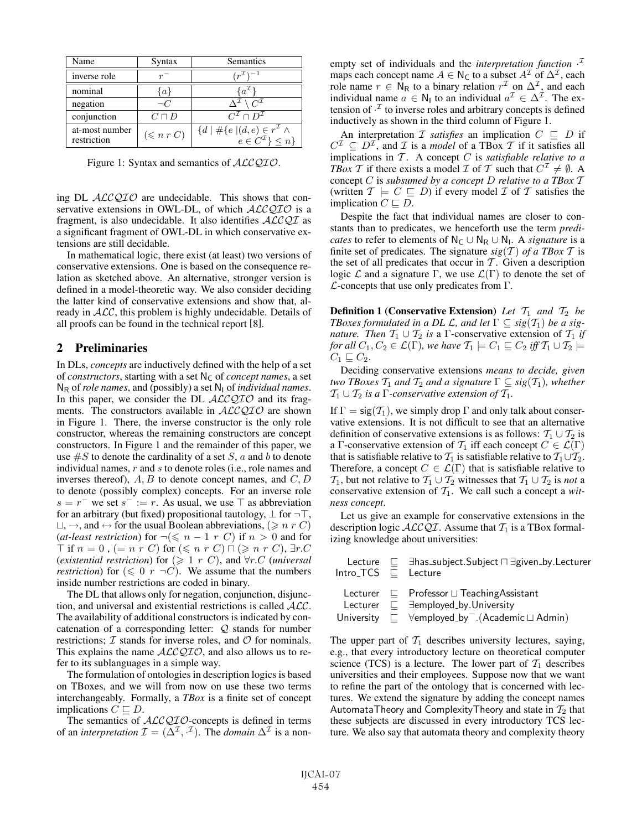| Name                          | Syntax              | Semantics                                                                                     |
|-------------------------------|---------------------|-----------------------------------------------------------------------------------------------|
| inverse role                  |                     | $(r^{\mathcal{I}})^{-1}$                                                                      |
| nominal                       | $\{a\}$             | $\cdot a^{\mu}$                                                                               |
| negation                      | $\neg C$            | $C^{\mathcal{I}}$                                                                             |
| conjunction                   | $C\sqcap D$         | $C^{\mathcal{I}} \cap D^{\mathcal{I}}$                                                        |
| at-most number<br>restriction | $(\leqslant n r C)$ | ${d   \# \{e \mid (d, e) \in r^{\mathcal{I}} \wedge \newline e \in C^{\mathcal{I}}\} \leq n}$ |

Figure 1: Syntax and semantics of  $ALCQIO$ .

ing DL  $ALCQIO$  are undecidable. This shows that conservative extensions in OWL-DL, of which  $ALCQIO$  is a fragment, is also undecidable. It also identifies  $\mathcal{ALCQI}$  as a significant fragment of OWL-DL in which conservative extensions are still decidable.

In mathematical logic, there exist (at least) two versions of conservative extensions. One is based on the consequence relation as sketched above. An alternative, stronger version is defined in a model-theoretic way. We also consider deciding the latter kind of conservative extensions and show that, already in  $ALC$ , this problem is highly undecidable. Details of all proofs can be found in the technical report [8].

## 2 Preliminaries

In DLs, *concepts* are inductively defined with the help of a set of *constructors*, starting with a set  $N_c$  of *concept names*, a set  $N_R$  of *role names*, and (possibly) a set  $N_I$  of *individual names*. In this paper, we consider the DL  $ALCQIO$  and its fragments. The constructors available in  $ALCQIO$  are shown in Figure 1. There, the inverse constructor is the only role constructor, whereas the remaining constructors are concept constructors. In Figure 1 and the remainder of this paper, we use  $\#S$  to denote the cardinality of a set S, a and b to denote individual names, r and s to denote roles (i.e., role names and inverses thereof),  $A, B$  to denote concept names, and  $C, D$ to denote (possibly complex) concepts. For an inverse role s = r<sup>−</sup> we set s<sup>−</sup> := r. As usual, we use  $\top$  as abbreviation for an arbitrary (but fixed) propositional tautology,  $\perp$  for  $\neg$ T,  $\Box$ ,  $\rightarrow$ , and  $\leftrightarrow$  for the usual Boolean abbreviations, ( $\geq n r C$ ) (*at-least restriction*) for  $\neg(\leq n - 1 \, r \, C)$  if  $n > 0$  and for  $\overline{\top}$  if  $n = 0$  ,  $(= n r C)$  for  $(\leq n r C) \cap (\geq n r C)$ ,  $\exists r.C$ (*existential restriction*) for  $(\geq 1 \, r \, C)$ , and  $\forall r.C$  (*universal restriction*) for  $(\leq 0 \ r \ \neg C)$ . We assume that the numbers inside number restrictions are coded in binary.

The DL that allows only for negation, conjunction, disjunction, and universal and existential restrictions is called ALC. The availability of additional constructors is indicated by concatenation of a corresponding letter:  $Q$  stands for number restrictions;  $I$  stands for inverse roles, and  $O$  for nominals. This explains the name  $ALCQIO$ , and also allows us to refer to its sublanguages in a simple way.

The formulation of ontologies in description logics is based on TBoxes, and we will from now on use these two terms interchangeably. Formally, a *TBox* is a finite set of concept implications  $C \sqsubseteq D$ .

The semantics of  $ALCQIO$ -concepts is defined in terms of an *interpretation*  $\mathcal{I} = (\Delta^{\mathcal{I}}, \cdot^{\mathcal{I}})$ . The *domain*  $\Delta^{\mathcal{I}}$  is a non-

empty set of individuals and the *interpretation function* · I maps each concept name  $A \in N_C$  to a subset  $A<sup>\mathcal{I}</sup>$  of  $\Delta<sup>\mathcal{I}</sup>$ , each role name  $r \in \overline{N}_R$  to a binary relation  $r^{\mathcal{I}}$  on  $\Delta^{\mathcal{I}}$ , and each individual name  $a \in N_1$  to an individual  $a^{\mathcal{I}} \in \Delta^{\mathcal{I}}$ . The extension of  $\cdot^2$  to inverse roles and arbitrary concepts is defined inductively as shown in the third column of Figure 1.

An interpretation  $\mathcal I$  *satisfies* an implication  $C \subseteq D$  if  $C^{\mathcal{I}} \subseteq D^{\mathcal{I}}$ , and  $\mathcal{I}$  is a *model* of a TBox  $\mathcal{T}$  if it satisfies all implications in  $T$ . A concept  $C$  is *satisfiable relative to a TBox* T if there exists a model T of T such that  $C^{\mathcal{I}} \neq \emptyset$ . A concept C is *subsumed by a concept* D *relative to a TBox* T (written  $\mathcal{T} \models C \sqsubseteq D$ ) if every model  $\mathcal I$  of  $\mathcal T$  satisfies the implication  $C \sqsubset D$ .

Despite the fact that individual names are closer to constants than to predicates, we henceforth use the term *predicates* to refer to elements of  $N_C \cup N_R \cup N_1$ . A *signature* is a finite set of predicates. The signature  $sig(\mathcal{T})$  of a TBox  $\mathcal T$  is the set of all predicates that occur in  $T$ . Given a description logic  $\mathcal L$  and a signature  $\Gamma$ , we use  $\mathcal L(\Gamma)$  to denote the set of  $\mathcal{L}$ -concepts that use only predicates from  $\Gamma$ .

**Definition 1 (Conservative Extension)** Let  $T_1$  and  $T_2$  be *TBoxes formulated in a DL L, and let*  $\Gamma \subseteq sig(\mathcal{T}_1)$  *be a signature. Then*  $T_1 \cup T_2$  *is* a Γ-conservative extension of  $T_1$  *if for all*  $C_1, C_2 \in \mathcal{L}(\Gamma)$ *, we have*  $\mathcal{T}_1 \models C_1 \sqsubseteq C_2$  *iff*  $\mathcal{T}_1 \cup \mathcal{T}_2 \models$  $C_1 \sqsubseteq C_2$ .

Deciding conservative extensions *means to decide, given two TBoxes*  $T_1$  *and*  $T_2$  *and a signature*  $\Gamma \subseteq sig(T_1)$ *, whether*  $\mathcal{T}_1 \cup \mathcal{T}_2$  *is a*  $\Gamma$ *-conservative extension of*  $\mathcal{T}_1$ *.* 

If  $\Gamma = \text{sig}(\mathcal{T}_1)$ , we simply drop  $\Gamma$  and only talk about conservative extensions. It is not difficult to see that an alternative definition of conservative extensions is as follows:  $\mathcal{T}_1 \cup \mathcal{T}_2$  is a Γ-conservative extension of  $\mathcal{T}_1$  iff each concept  $C \in \mathcal{L}(\Gamma)$ that is satisfiable relative to  $\mathcal{T}_1$  is satisfiable relative to  $\mathcal{T}_1 \cup \mathcal{T}_2$ . Therefore, a concept  $C \in \mathcal{L}(\Gamma)$  that is satisfiable relative to  $T_1$ , but not relative to  $T_1 \cup T_2$  witnesses that  $T_1 \cup T_2$  is *not* a conservative extension of  $T_1$ . We call such a concept a *witness concept*.

Let us give an example for conservative extensions in the description logic  $ALCQI$ . Assume that  $T_1$  is a TBox formalizing knowledge about universities:

| $Intro_TCS \tE$ Lecture | Lecture $\quad \sqsubseteq$ $\exists$ has_subject.Subject $\sqcap \exists$ given_by.Lecturer                                                                                                                      |
|-------------------------|-------------------------------------------------------------------------------------------------------------------------------------------------------------------------------------------------------------------|
|                         | Lecturer $\sqsubseteq$ Professor $\sqcup$ Teaching Assistant<br>Lecturer $\sqsubseteq$ $\exists$ employed_by.University<br>University $\sqsubseteq$ $\forall$ employed_by <sup>-</sup> .(Academic $\sqcup$ Admin) |

The upper part of  $T_1$  describes university lectures, saying, e.g., that every introductory lecture on theoretical computer science (TCS) is a lecture. The lower part of  $\mathcal{T}_1$  describes universities and their employees. Suppose now that we want to refine the part of the ontology that is concerned with lectures. We extend the signature by adding the concept names AutomataTheory and ComplexityTheory and state in  $T_2$  that these subjects are discussed in every introductory TCS lecture. We also say that automata theory and complexity theory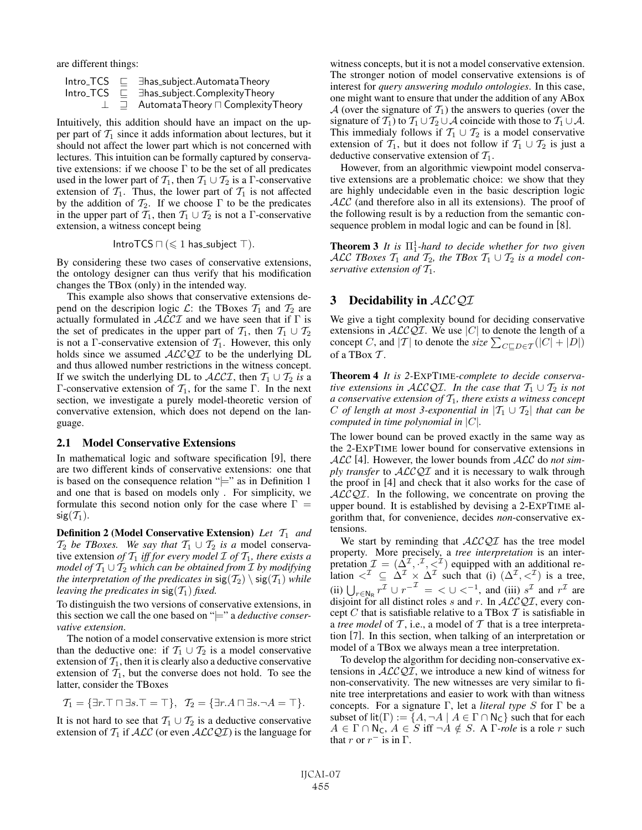are different things:

|  | Intro_TCS $\sqsubseteq$ $\exists$ has_subject.AutomataTheory |
|--|--------------------------------------------------------------|
|  | $Intro\_TCS \subseteq \exists has\_subject.ComplexityTheory$ |
|  | $\perp$ $\equiv$ Automata Theory $\sqcap$ Complexity Theory  |

Intuitively, this addition should have an impact on the upper part of  $T_1$  since it adds information about lectures, but it should not affect the lower part which is not concerned with lectures. This intuition can be formally captured by conservative extensions: if we choose  $\Gamma$  to be the set of all predicates used in the lower part of  $T_1$ , then  $T_1 \cup T_2$  is a  $\Gamma$ -conservative extension of  $T_1$ . Thus, the lower part of  $T_1$  is not affected by the addition of  $\mathcal{T}_2$ . If we choose  $\Gamma$  to be the predicates in the upper part of  $\overline{T_1}$ , then  $T_1 \cup T_2$  is not a Γ-conservative extension, a witness concept being

$$
\mathsf{IntroTCS} \sqcap (\leqslant 1 \; \mathsf{has\_subject} \; \top).
$$

By considering these two cases of conservative extensions, the ontology designer can thus verify that his modification changes the TBox (only) in the intended way.

This example also shows that conservative extensions depend on the descripion logic  $\mathcal{L}$ : the TBoxes  $\mathcal{T}_1$  and  $\mathcal{T}_2$  are actually formulated in  $ALCI$  and we have seen that if  $\Gamma$  is the set of predicates in the upper part of  $T_1$ , then  $T_1 \cup T_2$ is not a Γ-conservative extension of  $\mathcal{T}_1$ . However, this only holds since we assumed  $\text{ALCQI}$  to be the underlying DL and thus allowed number restrictions in the witness concept. If we switch the underlying DL to  $\mathcal{ALCI}$ , then  $T_1 \cup T_2$  *is* a Γ-conservative extension of  $\mathcal{T}_1$ , for the same Γ. In the next section, we investigate a purely model-theoretic version of convervative extension, which does not depend on the language.

#### 2.1 Model Conservative Extensions

In mathematical logic and software specification [9], there are two different kinds of conservative extensions: one that is based on the consequence relation " $\models$ " as in Definition 1 and one that is based on models only . For simplicity, we formulate this second notion only for the case where  $\Gamma =$  $sig(T_1)$ .

**Definition 2 (Model Conservative Extension)** Let  $T_1$  and  $T_2$  *be TBoxes.* We say that  $T_1 \cup T_2$  *is a* model conservative extension *of*  $T_1$  *iff for every model*  $\mathcal I$  *of*  $T_1$ *, there exists a model of*  $T_1 \cup T_2$  *which can be obtained from*  $\mathcal I$  *by modifying the interpretation of the predicates in*  $sig(\mathcal{T}_2) \setminus sig(\mathcal{T}_1)$  *while leaving the predicates in*  $sig(T_1)$  *fixed.* 

To distinguish the two versions of conservative extensions, in this section we call the one based on "|=" a *deductive conservative extension*.

The notion of a model conservative extension is more strict than the deductive one: if  $T_1 \cup T_2$  is a model conservative extension of  $T_1$ , then it is clearly also a deductive conservative extension of  $T_1$ , but the converse does not hold. To see the latter, consider the TBoxes

$$
\mathcal{T}_1 = \{\exists r. \top \sqcap \exists s. \top = \top\}, \ \ \mathcal{T}_2 = \{\exists r. A \sqcap \exists s. \neg A = \top\}.
$$

It is not hard to see that  $T_1 \cup T_2$  is a deductive conservative extension of  $T_1$  if  $ALC$  (or even  $ALCQI$ ) is the language for witness concepts, but it is not a model conservative extension. The stronger notion of model conservative extensions is of interest for *query answering modulo ontologies*. In this case, one might want to ensure that under the addition of any ABox A (over the signature of  $T_1$ ) the answers to queries (over the signature of  $T_1$ ) to  $T_1 \cup T_2 \cup A$  coincide with those to  $T_1 \cup A$ . This immedialy follows if  $T_1 \cup T_2$  is a model conservative extension of  $T_1$ , but it does not follow if  $T_1 \cup T_2$  is just a deductive conservative extension of  $T_1$ .

However, from an algorithmic viewpoint model conservative extensions are a problematic choice: we show that they are highly undecidable even in the basic description logic  $ALC$  (and therefore also in all its extensions). The proof of the following result is by a reduction from the semantic consequence problem in modal logic and can be found in [8].

**Theorem 3** It is  $\Pi_1^1$ -hard to decide whether for two given ALC TBoxes  $T_1$  and  $T_2$ , the TBox  $T_1 \cup T_2$  is a model con*servative extension of*  $T_1$ *.* 

## 3 Decidability in  $ALCOI$

We give a tight complexity bound for deciding conservative extensions in  $ALCQI$ . We use |C| to denote the length of a concept C, and |T| to denote the *size*  $\sum_{C \subseteq D \in \mathcal{T}}(|C| + |D|)$ of a TBox  $T$ .

Theorem 4 *It is 2-*EXPTIME*-complete to decide conservative extensions in ALCQI. In the case that*  $T_1 \cup T_2$  *is not a conservative extension of*  $T_1$ *, there exists a witness concept* C *of length at most 3-exponential in*  $|T_1 \cup T_2|$  *that can be computed in time polynomial in* |C|*.*

The lower bound can be proved exactly in the same way as the 2-EXPTIME lower bound for conservative extensions in ALC [4]. However, the lower bounds from ALC do *not simply transfer* to ALCQI and it is necessary to walk through the proof in [4] and check that it also works for the case of  $ALCQI$ . In the following, we concentrate on proving the upper bound. It is established by devising a 2-EXPTIME algorithm that, for convenience, decides *non*-conservative extensions.

We start by reminding that  $ALCQI$  has the tree model property. More precisely, a *tree interpretation* is an interpretation  $\mathcal{I} = (\Delta^{\mathcal{I}}, \cdot^{\mathcal{I}}, \langle^{\mathcal{I}})$  equipped with an additional relation  $\langle \zeta^{\mathcal{I}} \rangle \subseteq \Delta^{\mathcal{I}} \times \Delta^{\mathcal{I}}$  such that (i)  $(\Delta^{\mathcal{I}}, \langle \zeta^{\mathcal{I}} \rangle)$  is a tree, (ii)  $\bigcup_{r \in \mathbb{N}_R} r^{\mathcal{I}} \cup r^{-\mathcal{I}} = \langle \bigcup \langle \bigcap_{r=1}^{\infty} f_r \rangle$  and  $\bigcap_{r=1}^{\infty} r^{\mathcal{I}}$  are disjoint for all distinct roles s and r. In  $\mathcal{ALCQI}$ , every concept C that is satisfiable relative to a TBox T is satisfiable in a *tree model* of  $\mathcal T$ , i.e., a model of  $\mathcal T$  that is a tree interpretation [7]. In this section, when talking of an interpretation or model of a TBox we always mean a tree interpretation.

To develop the algorithm for deciding non-conservative extensions in  $ALCQI$ , we introduce a new kind of witness for non-conservativity. The new witnesses are very similar to finite tree interpretations and easier to work with than witness concepts. For a signature Γ, let a *literal type* S for Γ be a subset of lit(Γ) :=  $\{A, \neg A \mid A \in \Gamma \cap \mathsf{N}_{\mathsf{C}}\}$  such that for each  $A \in \Gamma \cap \mathsf{N}_\mathsf{C}, A \in S$  iff  $\neg A \notin S$ . A  $\Gamma$ *-role* is a role r such that r or  $r^-$  is in  $\Gamma$ .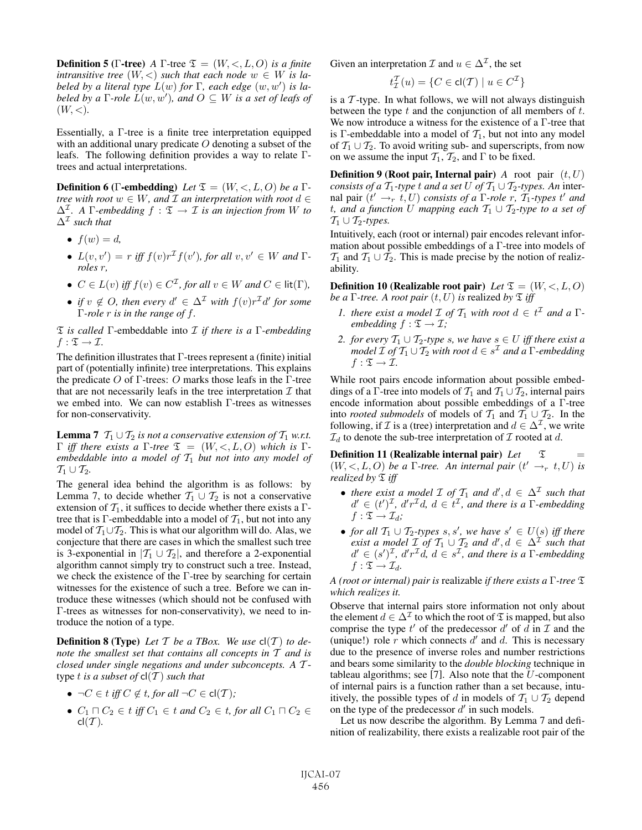**Definition 5 (Γ-tree)** *A* Γ-tree  $\mathfrak{T} = (W, \langle, L, O \rangle)$  *is a finite intransitive tree*  $(W, <)$  *such that each node*  $w \in W$  *is labeled by a literal type*  $L(w)$  *for*  $\Gamma$ *, each edge*  $(w, w')$  *is labeled by a*  $\Gamma$ -role  $\check{L}(w, w')$ , and  $O \subseteq W$  is a set of leafs of  $(W, <)$ .

Essentially, a Γ-tree is a finite tree interpretation equipped with an additional unary predicate  $O$  denoting a subset of the leafs. The following definition provides a way to relate Γtrees and actual interpretations.

**Definition 6** (Γ-embedding) *Let*  $\mathfrak{T} = (W, \langle, L, O \rangle)$  *be a* Γ*tree with root*  $w \in W$ *, and*  $\mathcal{I}$  *an interpretation with root*  $d \in$  $\Delta^{\mathcal{I}}$ . A  $\Gamma$ -embedding  $f : \mathcal{I} \to \mathcal{I}$  *is an injection from* W *to*  $\Delta^{\mathcal{I}}$  *such that* 

- $f(w) = d$ ,
- $L(v, v') = r$  *iff*  $f(v)r^{\mathcal{I}}f(v')$ *, for all*  $v, v' \in W$  *and*  $\Gamma$ *roles* r*,*
- $C \in L(v)$  *iff*  $f(v) \in C^{\mathcal{I}}$ , for all  $v \in W$  and  $C \in$  lit( $\Gamma$ ),
- *if*  $v \notin O$ , then every  $d' \in \Delta^{\mathcal{I}}$  with  $f(v)r^{\mathcal{I}}d'$  for some Γ*-role* r *is in the range of* f*.*

T *is called* Γ-embeddable into I *if there is a* Γ*-embedding*  $f: \mathfrak{T} \to \mathcal{I}$ .

The definition illustrates that  $\Gamma$ -trees represent a (finite) initial part of (potentially infinite) tree interpretations. This explains the predicate  $O$  of  $Γ$ -trees:  $O$  marks those leafs in the  $Γ$ -tree that are not necessarily leafs in the tree interpretation  $\mathcal I$  that we embed into. We can now establish Γ-trees as witnesses for non-conservativity.

**Lemma 7**  $T_1 \cup T_2$  *is not a conservative extension of*  $T_1$  *w.r.t.* Γ *iff there exists a* Γ-tree  $\mathfrak{T} = (W, \leq, L, O)$  which is Γ*embeddable into a model of*  $T_1$  *but not into any model of*  $\mathcal{T}_1 \cup \mathcal{T}_2$ .

The general idea behind the algorithm is as follows: by Lemma 7, to decide whether  $T_1 \cup T_2$  is not a conservative extension of  $T_1$ , it suffices to decide whether there exists a Γtree that is Γ-embeddable into a model of  $T_1$ , but not into any model of  $T_1 \cup T_2$ . This is what our algorithm will do. Alas, we conjecture that there are cases in which the smallest such tree is 3-exponential in  $|T_1 \cup T_2|$ , and therefore a 2-exponential algorithm cannot simply try to construct such a tree. Instead, we check the existence of the Γ-tree by searching for certain witnesses for the existence of such a tree. Before we can introduce these witnesses (which should not be confused with Γ-trees as witnesses for non-conservativity), we need to introduce the notion of a type.

**Definition 8 (Type)** Let T be a TBox. We use  $cl(T)$  to de*note the smallest set that contains all concepts in* T *and is closed under single negations and under subconcepts. A* T type  $t$  *is a subset of*  $cl(T)$  *such that* 

- $\neg C \in t$  *iff*  $C \notin t$ *, for all*  $\neg C \in \text{cl}(\mathcal{T})$ *;*
- $C_1 \sqcap C_2 \in t$  *iff*  $C_1 \in t$  *and*  $C_2 \in t$ *, for all*  $C_1 \sqcap C_2 \in$  $cl(\mathcal{T})$ .

Given an interpretation  $\mathcal I$  and  $u \in \Delta^{\mathcal I}$ , the set

$$
t_{\mathcal{I}}^{\mathcal{T}}(u) = \{ C \in \text{cl}(\mathcal{T}) \mid u \in C^{\mathcal{I}} \}
$$

is a  $\mathcal T$ -type. In what follows, we will not always distinguish between the type  $t$  and the conjunction of all members of  $t$ . We now introduce a witness for the existence of a Γ-tree that is Γ-embeddable into a model of  $\mathcal{T}_1$ , but not into any model of  $\mathcal{T}_1 \cup \mathcal{T}_2$ . To avoid writing sub- and superscripts, from now on we assume the input  $\mathcal{T}_1$ ,  $\mathcal{T}_2$ , and  $\Gamma$  to be fixed.

**Definition 9 (Root pair, Internal pair)** *A* root pair  $(t, U)$ *consists of a*  $T_1$ *-type* t *and* a set U of  $T_1 \cup T_2$ *-types. An* internal pair  $(t' \rightarrow r, t, U)$  *consists of a*  $\Gamma$ *-role*  $r, \tilde{T}_1$ *-types*  $t'$  *and* t, and a function U mapping each  $T_1 \cup T_2$ -type to a set of  $\mathcal{T}_1 \cup \mathcal{T}_2$ -types.

Intuitively, each (root or internal) pair encodes relevant information about possible embeddings of a Γ-tree into models of  $\mathcal{T}_1$  and  $\mathcal{T}_1 \cup \mathcal{T}_2$ . This is made precise by the notion of realizability.

**Definition 10 (Realizable root pair)** *Let*  $\mathfrak{T} = (W, \langle, L, O \rangle)$ *be a*  $\Gamma$ *-tree. A root pair*  $(t, U)$  *is* realized *by*  $\Sigma$  *iff* 

- *1. there exist a model*  $\mathcal{I}$  *of*  $\mathcal{T}_1$  *with root*  $d \in t^{\mathcal{I}}$  *and*  $a \Gamma$ *embedding*  $f : \mathfrak{T} \to \mathcal{I}$ ;
- *2. for every*  $T_1 ∪ T_2$ -type s, we have  $s ∈ U$  iff there exist a *model*  $\mathcal{I}$  *of*  $\mathcal{T}_1 \cup \mathcal{T}_2$  *with root*  $d \in s^{\mathcal{I}}$  *and*  $\tilde{a}$   $\Gamma$ *-embedding*  $f: \mathfrak{T} \to \mathcal{I}$ .

While root pairs encode information about possible embeddings of a Γ-tree into models of  $T_1$  and  $T_1 \cup T_2$ , internal pairs encode information about possible embeddings of a Γ-tree into *rooted submodels* of models of  $\mathcal{T}_1$  and  $\mathcal{T}_1 \cup \mathcal{T}_2$ . In the following, if  $\mathcal I$  is a (tree) interpretation and  $d \in \Delta^{\mathcal I}$ , we write  $\mathcal{I}_d$  to denote the sub-tree interpretation of  $\mathcal I$  rooted at  $d$ .

Definition 11 (Realizable internal pair)  $Let \quad \mathfrak{T} =$  $(W, <, L, O)$  *be a*  $\Gamma$ -tree. An internal pair  $(t' \rightarrow_{r} t, U)$  is *realized by*  $\mathfrak{T}$  *iff* 

- *there exist a model*  $\mathcal{I}$  *of*  $\mathcal{I}_1$  *and*  $d', d \in \Delta^{\mathcal{I}}$  *such that*  $d' \in (t')^{\mathcal{I}}, d'r^{\mathcal{I}}d, d \in t^{\mathcal{I}},$  and there is a  $\Gamma$ -embedding  $f: \mathfrak{T} \to \mathcal{I}_d$ ;
- *for all*  $T_1 \cup T_2$ *-types*  $s, s'$ *, we have*  $s' \in U(s)$  *iff there exist a model*  $\mathcal{I}$  *of*  $\mathcal{T}_1 \cup \mathcal{T}_2$  *and*  $d', d \in \Delta^{\mathcal{I}}$  *such that*  $d' \in (s')^{\mathcal{I}}, d'r^{\mathcal{I}}d, d \in s^{\mathcal{I}},$  and there is a  $\Gamma$ -embedding  $f: \mathfrak{T} \to \mathcal{I}_d$ .

*A (root or internal) pair is* realizable *if there exists a* Γ*-tree* T *which realizes it.*

Observe that internal pairs store information not only about the element  $d \in \Delta^{\mathcal{I}}$  to which the root of  $\mathfrak T$  is mapped, but also comprise the type  $t'$  of the predecessor  $d'$  of  $\overrightarrow{d}$  in  $\overrightarrow{\mathcal{I}}$  and the (unique!) role  $\overrightarrow{r}$  which connects  $d'$  and  $d$ . This is necessary due to the presence of inverse roles and number restrictions and bears some similarity to the *double blocking* technique in tableau algorithms; see  $[7]$ . Also note that the U-component of internal pairs is a function rather than a set because, intuitively, the possible types of d in models of  $T_1 \cup T_2$  depend on the type of the predecessor  $d'$  in such models.

Let us now describe the algorithm. By Lemma 7 and definition of realizability, there exists a realizable root pair of the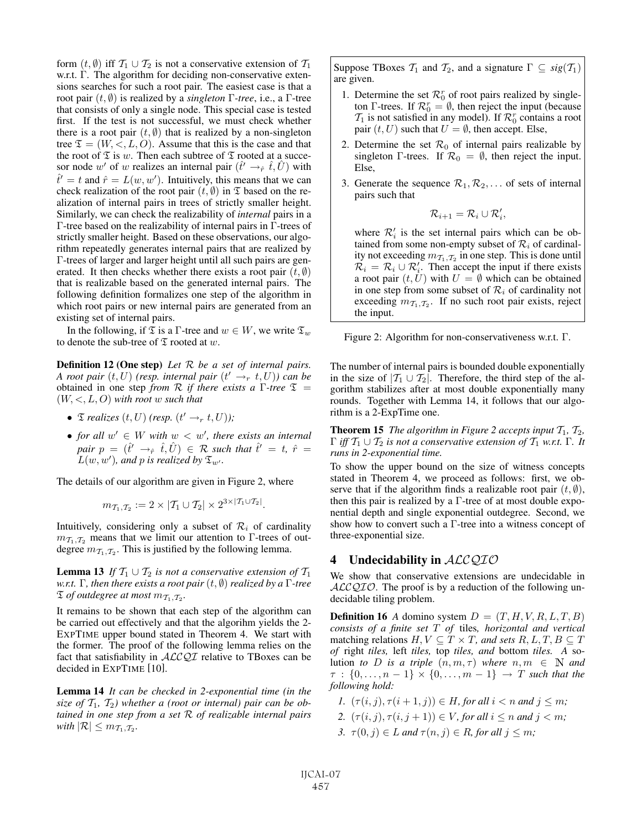form  $(t, \emptyset)$  iff  $\mathcal{T}_1 \cup \mathcal{T}_2$  is not a conservative extension of  $\mathcal{T}_1$ w.r.t. Γ. The algorithm for deciding non-conservative extensions searches for such a root pair. The easiest case is that a root pair (t, ∅) is realized by a *singleton* Γ*-tree*, i.e., a Γ-tree that consists of only a single node. This special case is tested first. If the test is not successful, we must check whether there is a root pair  $(t, \emptyset)$  that is realized by a non-singleton tree  $\mathfrak{T} = (W, \langle, L, O \rangle)$ . Assume that this is the case and that the root of  $\mathfrak T$  is w. Then each subtree of  $\mathfrak T$  rooted at a succesor node w' of w realizes an internal pair  $(\hat{t}' \rightarrow_{\hat{r}} \hat{t}, \hat{U})$  with  $\hat{t}' = t$  and  $\hat{r} = L(w, w')$ . Intuitively, this means that we can check realization of the root pair  $(t, \emptyset)$  in  $\mathfrak T$  based on the realization of internal pairs in trees of strictly smaller height. Similarly, we can check the realizability of *internal* pairs in a Γ-tree based on the realizability of internal pairs in Γ-trees of strictly smaller height. Based on these observations, our algorithm repeatedly generates internal pairs that are realized by Γ-trees of larger and larger height until all such pairs are generated. It then checks whether there exists a root pair  $(t, \emptyset)$ that is realizable based on the generated internal pairs. The following definition formalizes one step of the algorithm in which root pairs or new internal pairs are generated from an existing set of internal pairs.

In the following, if  $\mathfrak T$  is a Γ-tree and  $w \in W$ , we write  $\mathfrak T_w$ to denote the sub-tree of  $\mathfrak T$  rooted at w.

Definition 12 (One step) *Let* R *be a set of internal pairs. A root pair*  $(t, U)$  *(resp. internal pair*  $(t' \rightarrow_{r} t, U)$ *) can be* obtained in one step *from* R *if there exists a* Γ*-tree* T = (W, <, L, O) *with root* w *such that*

- $\mathfrak{I}$  *realizes*  $(t, U)$  (*resp.*  $(t' \rightarrow_{r} t, U)$ *)*;
- for all  $w' \in W$  with  $w < w'$ , there exists an internal  $pair p = (\hat{t}' \rightarrow_{\hat{r}} \hat{t}, \hat{U}) \in \mathcal{R}$  such that  $\hat{t}' = t$ ,  $\hat{r} = t$  $L(w, w')$ , and p is realized by  $\mathfrak{T}_{w'}.$

The details of our algorithm are given in Figure 2, where

$$
m_{\mathcal{T}_1,\mathcal{T}_2} := 2 \times |\mathcal{T}_1 \cup \mathcal{T}_2| \times 2^{3 \times |\mathcal{T}_1 \cup \mathcal{T}_2|}.
$$

Intuitively, considering only a subset of  $\mathcal{R}_i$  of cardinality  $m_{\mathcal{I}_1,\mathcal{I}_2}$  means that we limit our attention to Γ-trees of outdegree  $m_{\mathcal{I}_1,\mathcal{I}_2}$ . This is justified by the following lemma.

**Lemma 13** *If*  $T_1 \cup T_2$  *is not a conservative extension of*  $T_1$ *w.r.t.* Γ*, then there exists a root pair* (t, ∅) *realized by a* Γ*-tree*  $\mathfrak T$  *of outdegree at most*  $m_{\mathcal T_1,\mathcal T_2}$ *.* 

It remains to be shown that each step of the algorithm can be carried out effectively and that the algorihm yields the 2- EXPTIME upper bound stated in Theorem 4. We start with the former. The proof of the following lemma relies on the fact that satisfiability in  $ALCQI$  relative to TBoxes can be decided in EXPTIME [10].

Lemma 14 *It can be checked in 2-exponential time (in the* size of  $T_1$ ,  $T_2$ ) whether a (root or internal) pair can be ob*tained in one step from a set* R *of realizable internal pairs with*  $|\mathcal{R}| \leq m_{\mathcal{T}_1,\mathcal{T}_2}$ *.* 

Suppose TBoxes  $\mathcal{T}_1$  and  $\mathcal{T}_2$ , and a signature  $\Gamma \subseteq sig(\mathcal{T}_1)$ are given.

- 1. Determine the set  $\mathcal{R}_0^r$  of root pairs realized by singleton Γ-trees. If  $\mathcal{R}_0^r = \emptyset$ , then reject the input (because  $\mathcal{T}_1$  is not satisfied in any model). If  $\mathcal{R}_0^r$  contains a root pair  $(t, U)$  such that  $U = \emptyset$ , then accept. Else,
- 2. Determine the set  $\mathcal{R}_0$  of internal pairs realizable by singleton Γ-trees. If  $\mathcal{R}_0 = \emptyset$ , then reject the input. Else,
- 3. Generate the sequence  $\mathcal{R}_1, \mathcal{R}_2, \ldots$  of sets of internal pairs such that

$$
\mathcal{R}_{i+1} = \mathcal{R}_i \cup \mathcal{R}'_i,
$$

where  $\mathcal{R}'_i$  is the set internal pairs which can be obtained from some non-empty subset of  $\mathcal{R}_i$  of cardinality not exceeding  $m_{\mathcal{T}_1,\mathcal{T}_2}$  in one step. This is done until  $\mathcal{R}_i = \mathcal{R}_i \cup \mathcal{R}'_i$ . Then accept the input if there exists a root pair  $(t, U)$  with  $U = \emptyset$  which can be obtained in one step from some subset of  $\mathcal{R}_i$  of cardinality not exceeding  $m_{\mathcal{I}_1,\mathcal{I}_2}$ . If no such root pair exists, reject the input.

Figure 2: Algorithm for non-conservativeness w.r.t. Γ.

The number of internal pairs is bounded double exponentially in the size of  $|T_1 \cup T_2|$ . Therefore, the third step of the algorithm stabilizes after at most double exponentially many rounds. Together with Lemma 14, it follows that our algorithm is a 2-ExpTime one.

**Theorem 15** *The algorithm in Figure 2 accepts input*  $T_1$ ,  $T_2$ ,  $Γ$  *iff*  $T_1 ∪ T_2$  *is not a conservative extension of*  $T_1$  *w.r.t.* Γ*. It runs in 2-exponential time.*

To show the upper bound on the size of witness concepts stated in Theorem 4, we proceed as follows: first, we observe that if the algorithm finds a realizable root pair  $(t, \emptyset)$ , then this pair is realized by a  $\Gamma$ -tree of at most double exponential depth and single exponential outdegree. Second, we show how to convert such a Γ-tree into a witness concept of three-exponential size.

## 4 Undecidability in *ACCQIO*

We show that conservative extensions are undecidable in  $ALCQIO$ . The proof is by a reduction of the following undecidable tiling problem.

**Definition 16** *A* domino system  $D = (T, H, V, R, L, T, B)$ *consists of a finite set* T *of* tiles*, horizontal and vertical* matching relations  $H, V \subseteq T \times T$ , and sets  $R, L, T, B \subseteq T$ *of* right *tiles,* left *tiles,* top *tiles, and* bottom *tiles. A* solution *to D* is a triple  $(n, m, \tau)$  where  $n, m \in \mathbb{N}$  and  $\tau : \{0, \ldots, n-1\} \times \{0, \ldots, m-1\} \to T$  *such that the following hold:*

- *1.*  $(\tau(i, j), \tau(i + 1, j)) \in H$ *, for all*  $i < n$  *and*  $j \leq m$ *;*
- *2.*  $(\tau(i, j), \tau(i, j + 1)) \in V$ *, for all*  $i \leq n$  *and*  $j \leq m$ *;*
- *3.*  $\tau(0, j) \in L$  *and*  $\tau(n, j) \in R$ *, for all*  $j \leq m$ *;*